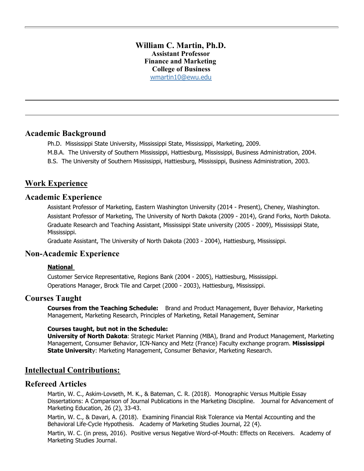### **William C. Martin, Ph.D. Assistant Professor Finance and Marketing College of Business** [wmartin10@ewu.edu](mailto:wmartin10@ewu.edu)

## **Academic Background**

- Ph.D. Mississippi State University, Mississippi State, Mississippi, Marketing, 2009.
- M.B.A. The University of Southern Mississippi, Hattiesburg, Mississippi, Business Administration, 2004.
- B.S. The University of Southern Mississippi, Hattiesburg, Mississippi, Business Administration, 2003.

## **Work Experience**

## **Academic Experience**

Assistant Professor of Marketing, Eastern Washington University (2014 - Present), Cheney, Washington. Assistant Professor of Marketing, The University of North Dakota (2009 - 2014), Grand Forks, North Dakota. Graduate Research and Teaching Assistant, Mississippi State university (2005 - 2009), Mississippi State, Mississippi.

Graduate Assistant, The University of North Dakota (2003 - 2004), Hattiesburg, Mississippi.

## **Non-Academic Experience**

#### **National**

Customer Service Representative, Regions Bank (2004 - 2005), Hattiesburg, Mississippi. Operations Manager, Brock Tile and Carpet (2000 - 2003), Hattiesburg, Mississippi.

## **Courses Taught**

**Courses from the Teaching Schedule:** Brand and Product Management, Buyer Behavior, Marketing Management, Marketing Research, Principles of Marketing, Retail Management, Seminar

#### **Courses taught, but not in the Schedule:**

**University of North Dakota**: Strategic Market Planning (MBA), Brand and Product Management, Marketing Management, Consumer Behavior, ICN-Nancy and Metz (France) Faculty exchange program. **Mississippi State Universit**y: Marketing Management, Consumer Behavior, Marketing Research.

## **Intellectual Contributions:**

## **Refereed Articles**

Martin, W. C., Askim-Lovseth, M. K., & Bateman, C. R. (2018). Monographic Versus Multiple Essay Dissertations: A Comparison of Journal Publications in the Marketing Discipline. Journal for Advancement of Marketing Education, 26 (2), 33-43.

Martin, W. C., & Davari, A. (2018). Examining Financial Risk Tolerance via Mental Accounting and the Behavioral Life-Cycle Hypothesis. Academy of Marketing Studies Journal, 22 (4).

Martin, W. C. (in press, 2016). Positive versus Negative Word-of-Mouth: Effects on Receivers. Academy of Marketing Studies Journal.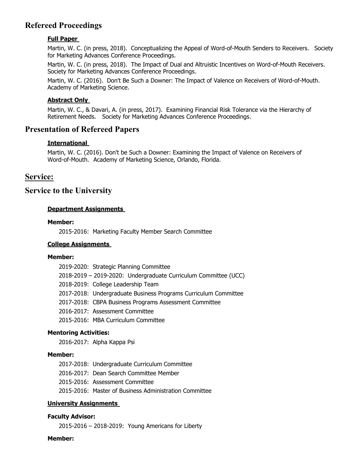# **Refereed Proceedings**

### **Full Paper**

Martin, W. C. (in press, 2018). Conceptualizing the Appeal of Word-of-Mouth Senders to Receivers. Society for Marketing Advances Conference Proceedings.

Martin, W. C. (in press, 2018). The Impact of Dual and Altruistic Incentives on Word-of-Mouth Receivers. Society for Marketing Advances Conference Proceedings.

Martin, W. C. (2016). Don't Be Such a Downer: The Impact of Valence on Receivers of Word-of-Mouth. Academy of Marketing Science.

#### **Abstract Only**

Martin, W. C., & Davari, A. (in press, 2017). Examining Financial Risk Tolerance via the Hierarchy of Retirement Needs. Society for Marketing Advances Conference Proceedings.

## **Presentation of Refereed Papers**

#### **International**

Martin, W. C. (2016). Don't be Such a Downer: Examining the Impact of Valence on Receivers of Word-of-Mouth. Academy of Marketing Science, Orlando, Florida.

## **Service:**

## **Service to the University**

### **Department Assignments**

#### **Member:**

2015-2016: Marketing Faculty Member Search Committee

#### **College Assignments**

#### **Member:**

| 2019-2020: Strategic Planning Committee                         |
|-----------------------------------------------------------------|
| 2018-2019 - 2019-2020: Undergraduate Curriculum Committee (UCC) |
| 2018-2019: College Leadership Team                              |
| 2017-2018: Undergraduate Business Programs Curriculum Committee |
| 2017-2018: CBPA Business Programs Assessment Committee          |
| 2016-2017: Assessment Committee                                 |
| 2015-2016: MBA Curriculum Committee                             |

#### **Mentoring Activities:**

2016-2017: Alpha Kappa Psi

#### **Member:**

2017-2018: Undergraduate Curriculum Committee 2016-2017: Dean Search Committee Member 2015-2016: Assessment Committee 2015-2016: Master of Business Administration Committee

#### **University Assignments**

#### **Faculty Advisor:**

2015-2016 – 2018-2019: Young Americans for Liberty

#### **Member:**